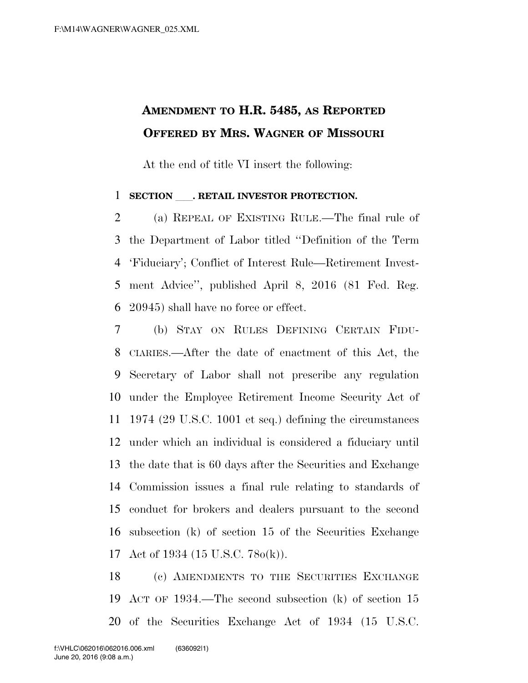## **AMENDMENT TO H.R. 5485, AS REPORTED OFFERED BY MRS. WAGNER OF MISSOURI**

At the end of title VI insert the following:

## **SECTION** . RETAIL INVESTOR PROTECTION.

 (a) REPEAL OF EXISTING RULE.—The final rule of the Department of Labor titled ''Definition of the Term 'Fiduciary'; Conflict of Interest Rule—Retirement Invest- ment Advice'', published April 8, 2016 (81 Fed. Reg. 20945) shall have no force or effect.

 (b) STAY ON RULES DEFINING CERTAIN FIDU- CIARIES.—After the date of enactment of this Act, the Secretary of Labor shall not prescribe any regulation under the Employee Retirement Income Security Act of 1974 (29 U.S.C. 1001 et seq.) defining the circumstances under which an individual is considered a fiduciary until the date that is 60 days after the Securities and Exchange Commission issues a final rule relating to standards of conduct for brokers and dealers pursuant to the second subsection (k) of section 15 of the Securities Exchange Act of 1934 (15 U.S.C. 78o(k)).

 (c) AMENDMENTS TO THE SECURITIES EXCHANGE ACT OF 1934.—The second subsection (k) of section 15 of the Securities Exchange Act of 1934 (15 U.S.C.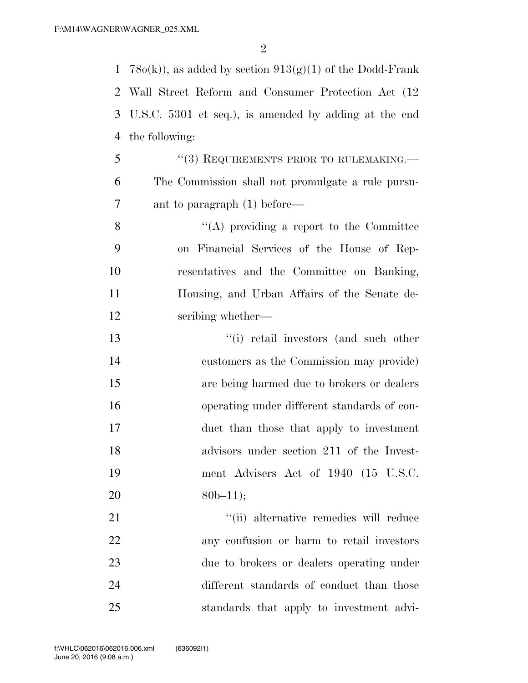$\mathfrak{D}$ 

1 78 $o(k)$ , as added by section  $913(g)(1)$  of the Dodd-Frank

 Wall Street Reform and Consumer Protection Act (12 U.S.C. 5301 et seq.), is amended by adding at the end the following: 5 "(3) REQUIREMENTS PRIOR TO RULEMAKING.— The Commission shall not promulgate a rule pursu- ant to paragraph (1) before— ''(A) providing a report to the Committee on Financial Services of the House of Rep- resentatives and the Committee on Banking, Housing, and Urban Affairs of the Senate de- scribing whether— ''(i) retail investors (and such other customers as the Commission may provide) are being harmed due to brokers or dealers operating under different standards of con- duct than those that apply to investment advisors under section 211 of the Invest- ment Advisers Act of 1940 (15 U.S.C. 20 80b–11);  $\frac{1}{2}$   $\frac{1}{2}$  alternative remedies will reduce any confusion or harm to retail investors due to brokers or dealers operating under different standards of conduct than those

standards that apply to investment advi-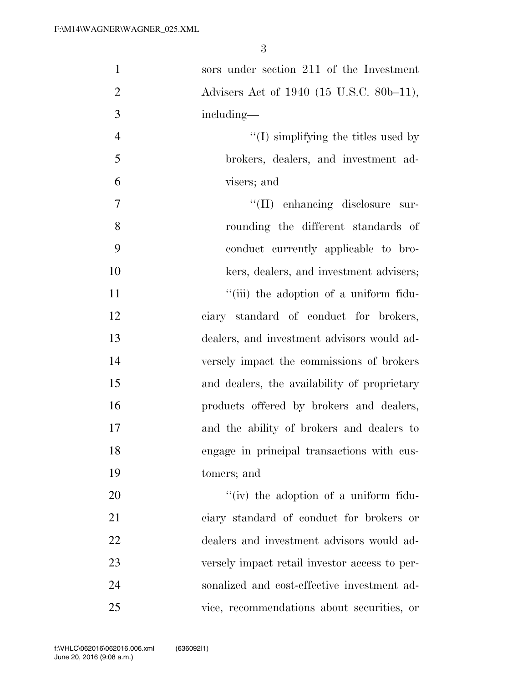| $\mathbf{1}$   | sors under section 211 of the Investment      |
|----------------|-----------------------------------------------|
| $\overline{2}$ | Advisers Act of 1940 (15 U.S.C. 80b-11),      |
| 3              | including-                                    |
| $\overline{4}$ | $\lq\lq$ (I) simplifying the titles used by   |
| 5              | brokers, dealers, and investment ad-          |
| 6              | visers; and                                   |
| 7              | $\lq\lq$ (II) enhancing disclosure sur-       |
| 8              | rounding the different standards of           |
| 9              | conduct currently applicable to bro-          |
| 10             | kers, dealers, and investment advisers;       |
| 11             | "(iii) the adoption of a uniform fidu-        |
| 12             | ciary standard of conduct for brokers,        |
| 13             | dealers, and investment advisors would ad-    |
| 14             | versely impact the commissions of brokers     |
| 15             | and dealers, the availability of proprietary  |
| 16             | products offered by brokers and dealers,      |
| 17             | and the ability of brokers and dealers to     |
| 18             | engage in principal transactions with cus-    |
| 19             | tomers; and                                   |
| 20             | $\lq\lq$ (iv) the adoption of a uniform fidu- |
| 21             | ciary standard of conduct for brokers or      |
| 22             | dealers and investment advisors would ad-     |
| 23             | versely impact retail investor access to per- |
| 24             | sonalized and cost-effective investment ad-   |
| 25             | vice, recommendations about securities, or    |